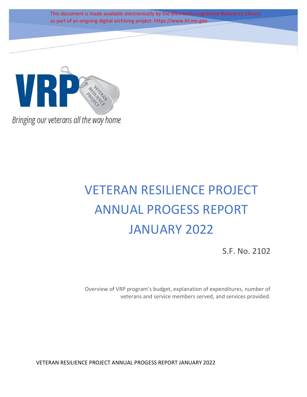This document is made available electronically by the Minnesota Legislative Reference Library as part of an ongoing digital archiving project. https://www.lrl.mn.gov



Bringing our veterans all the way home

# VETERAN RESILIENCE PROJECT ANNUAL PROGESS REPORT JANUARY 2022

S.F. No. 2102

Overview of VRP program's budget, explanation of expenditures, number of veterans and service members served, and services provided.

VETERAN RESILIENCE PROJECT ANNUAL PROGESS REPORT JANUARY 2022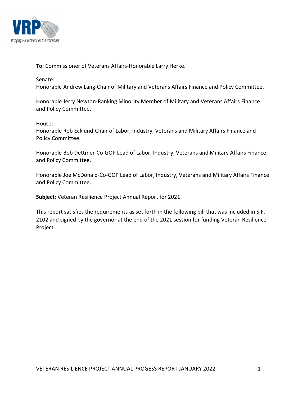

To: Commissioner of Veterans Affairs-Honorable Larry Herke.

## Senate:

Honorable Andrew Lang-Chair of Military and Veterans Affairs Finance and Policy Committee.

Honorable Jerry Newton-Ranking Minority Member of Military and Veterans Affairs Finance and Policy Committee.

House:

Honorable Rob Ecklund-Chair of Labor, Industry, Veterans and Military Affairs Finance and Policy Committee.

Honorable Bob Dettmer-Co-GOP Lead of Labor, Industry, Veterans and Military Affairs Finance and Policy Committee.

Honorable Joe McDonald-Co-GOP Lead of Labor, Industry, Veterans and Military Affairs Finance and Policy Committee.

Subject: Veteran Resilience Project Annual Report for 2021

This report satisfies the requirements as set forth in the following bill that was included in S.F. 2102 and signed by the governor at the end of the 2021 session for funding Veteran Resilience Project.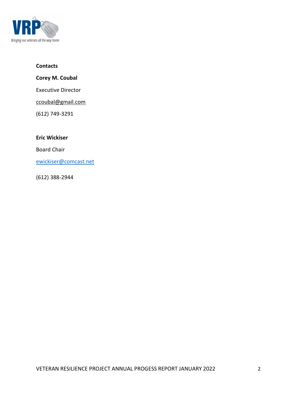

## **Contacts**

Corey M. Coubal

Executive Director

ccoubal@gmail.com

(612) 749-3291

Eric Wickiser

Board Chair

ewickiser@comcast.net

(612) 388-2944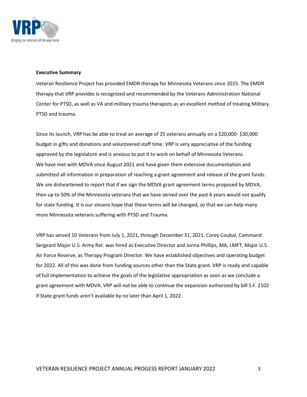

#### Executive Summary

Veteran Resilience Project has provided EMDR therapy for Minnesota Veterans since 2015. The EMDR therapy that VRP provides is recognized and recommended by the Veterans Administration National Center for PTSD, as well as VA and military trauma therapists as an excellent method of treating Military PTSD and trauma.

Since its launch, VRP has be able to treat an average of 25 veterans annually on a \$20,000- \$30,000 budget in gifts and donations and volunteered staff time. VRP is very appreciative of the funding approved by the legislature and is anxious to put it to work on behalf of Minnesota Veterans. We have met with MDVA since August 2021 and have given them extensive documentation and submitted all information in preparation of reaching a grant agreement and release of the grant funds. We are disheartened to report that if we sign the MDVA grant agreement terms proposed by MDVA, then up to 50% of the Minnesota veterans that we have served over the past 6 years would not qualify for state funding. It is our sincere hope that these terms will be changed, so that we can help many more Minnesota veterans suffering with PTSD and Trauma.

VRP has served 10 Veterans from July 1, 2021, through December 31, 2021. Corey Coubal, Command Sergeant Major U.S. Army Ret. was hired as Executive Director and Jonna Phillips, MA, LMFT, Major U.S. Air Force Reserve, as Therapy Program Director. We have established objectives and operating budget for 2022. All of this was done from funding sources other than the State grant. VRP is ready and capable of full implementation to achieve the goals of the legislative appropriation as soon as we conclude a grant agreement with MDVA. VRP will not be able to continue the expansion authorized by bill S.F. 2102 if State grant funds aren't available by no later than April 1, 2022.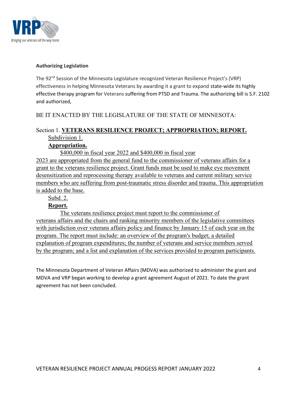

### Authorizing Legislation

The 92<sup>nd</sup> Session of the Minnesota Legislature recognized Veteran Resilience Project's (VRP) effectiveness in helping Minnesota Veterans by awarding it a grant to expand state-wide its highly effective therapy program for Veterans suffering from PTSD and Trauma. The authorizing bill is S.F. 2102 and authorized,

## BE IT ENACTED BY THE LEGISLATURE OF THE STATE OF MINNESOTA:

# Section 1. VETERANS RESILIENCE PROJECT; APPROPRIATION; REPORT. Subdivision 1.

## Appropriation.

\$400,000 in fiscal year 2022 and \$400,000 in fiscal year 2023 are appropriated from the general fund to the commissioner of veterans affairs for a grant to the veterans resilience project. Grant funds must be used to make eye movement desensitization and reprocessing therapy available to veterans and current military service members who are suffering from post-traumatic stress disorder and trauma. This appropriation is added to the base.

## Subd. 2.

## Report.

The veterans resilience project must report to the commissioner of veterans affairs and the chairs and ranking minority members of the legislative committees with jurisdiction over veterans affairs policy and finance by January 15 of each year on the program. The report must include: an overview of the program's budget; a detailed explanation of program expenditures; the number of veterans and service members served by the program; and a list and explanation of the services provided to program participants.

The Minnesota Department of Veteran Affairs (MDVA) was authorized to administer the grant and MDVA and VRP began working to develop a grant agreement August of 2021. To date the grant agreement has not been concluded.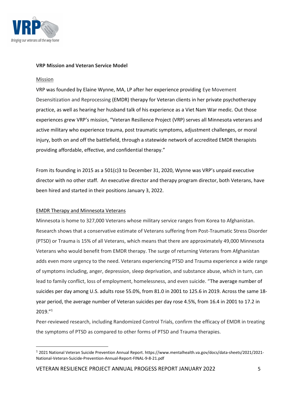

#### VRP Mission and Veteran Service Model

#### **Mission**

VRP was founded by Elaine Wynne, MA, LP after her experience providing Eye Movement Desensitization and Reprocessing (EMDR) therapy for Veteran clients in her private psychotherapy practice, as well as hearing her husband talk of his experience as a Viet Nam War medic. Out those experiences grew VRP's mission, "Veteran Resilience Project (VRP) serves all Minnesota veterans and active military who experience trauma, post traumatic symptoms, adjustment challenges, or moral injury, both on and off the battlefield, through a statewide network of accredited EMDR therapists providing affordable, effective, and confidential therapy."

From its founding in 2015 as a 501(c)3 to December 31, 2020, Wynne was VRP's unpaid executive director with no other staff. An executive director and therapy program director, both Veterans, have been hired and started in their positions January 3, 2022.

#### EMDR Therapy and Minnesota Veterans

Minnesota is home to 327,000 Veterans whose military service ranges from Korea to Afghanistan. Research shows that a conservative estimate of Veterans suffering from Post-Traumatic Stress Disorder (PTSD) or Trauma is 15% of all Veterans, which means that there are approximately 49,000 Minnesota Veterans who would benefit from EMDR therapy. The surge of returning Veterans from Afghanistan adds even more urgency to the need. Veterans experiencing PTSD and Trauma experience a wide range of symptoms including, anger, depression, sleep deprivation, and substance abuse, which in turn, can lead to family conflict, loss of employment, homelessness, and even suicide. "The average number of suicides per day among U.S. adults rose 55.0%, from 81.0 in 2001 to 125.6 in 2019. Across the same 18 year period, the average number of Veteran suicides per day rose 4.5%, from 16.4 in 2001 to 17.2 in 2019."<sup>1</sup>

Peer-reviewed research, including Randomized Control Trials, confirm the efficacy of EMDR in treating the symptoms of PTSD as compared to other forms of PTSD and Trauma therapies.

<sup>1</sup> 2021 National Veteran Suicide Prevention Annual Report. https://www.mentalhealth.va.gov/docs/data-sheets/2021/2021- National-Veteran-Suicide-Prevention-Annual-Report-FINAL-9-8-21.pdf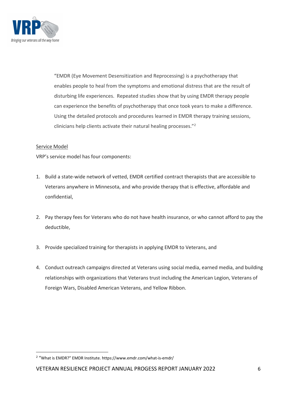

"EMDR (Eye Movement Desensitization and Reprocessing) is a psychotherapy that enables people to heal from the symptoms and emotional distress that are the result of disturbing life experiences. Repeated studies show that by using EMDR therapy people can experience the benefits of psychotherapy that once took years to make a difference. Using the detailed protocols and procedures learned in EMDR therapy training sessions, clinicians help clients activate their natural healing processes."<sup>2</sup>

#### Service Model

VRP's service model has four components:

- 1. Build a state-wide network of vetted, EMDR certified contract therapists that are accessible to Veterans anywhere in Minnesota, and who provide therapy that is effective, affordable and confidential,
- 2. Pay therapy fees for Veterans who do not have health insurance, or who cannot afford to pay the deductible,
- 3. Provide specialized training for therapists in applying EMDR to Veterans, and
- 4. Conduct outreach campaigns directed at Veterans using social media, earned media, and building relationships with organizations that Veterans trust including the American Legion, Veterans of Foreign Wars, Disabled American Veterans, and Yellow Ribbon.

<sup>&</sup>lt;sup>2</sup> "What is EMDR?" EMDR Institute. https://www.emdr.com/what-is-emdr/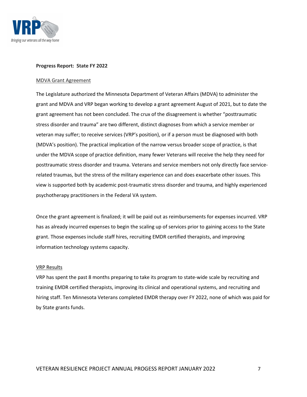

#### Progress Report: State FY 2022

#### MDVA Grant Agreement

The Legislature authorized the Minnesota Department of Veteran Affairs (MDVA) to administer the grant and MDVA and VRP began working to develop a grant agreement August of 2021, but to date the grant agreement has not been concluded. The crux of the disagreement is whether "posttraumatic stress disorder and trauma" are two different, distinct diagnoses from which a service member or veteran may suffer; to receive services (VRP's position), or if a person must be diagnosed with both (MDVA's position). The practical implication of the narrow versus broader scope of practice, is that under the MDVA scope of practice definition, many fewer Veterans will receive the help they need for posttraumatic stress disorder and trauma. Veterans and service members not only directly face servicerelated traumas, but the stress of the military experience can and does exacerbate other issues. This view is supported both by academic post-traumatic stress disorder and trauma, and highly experienced psychotherapy practitioners in the Federal VA system.

Once the grant agreement is finalized; it will be paid out as reimbursements for expenses incurred. VRP has as already incurred expenses to begin the scaling up of services prior to gaining access to the State grant. Those expenses include staff hires, recruiting EMDR certified therapists, and improving information technology systems capacity.

#### VRP Results

VRP has spent the past 8 months preparing to take its program to state-wide scale by recruiting and training EMDR certified therapists, improving its clinical and operational systems, and recruiting and hiring staff. Ten Minnesota Veterans completed EMDR therapy over FY 2022, none of which was paid for by State grants funds.